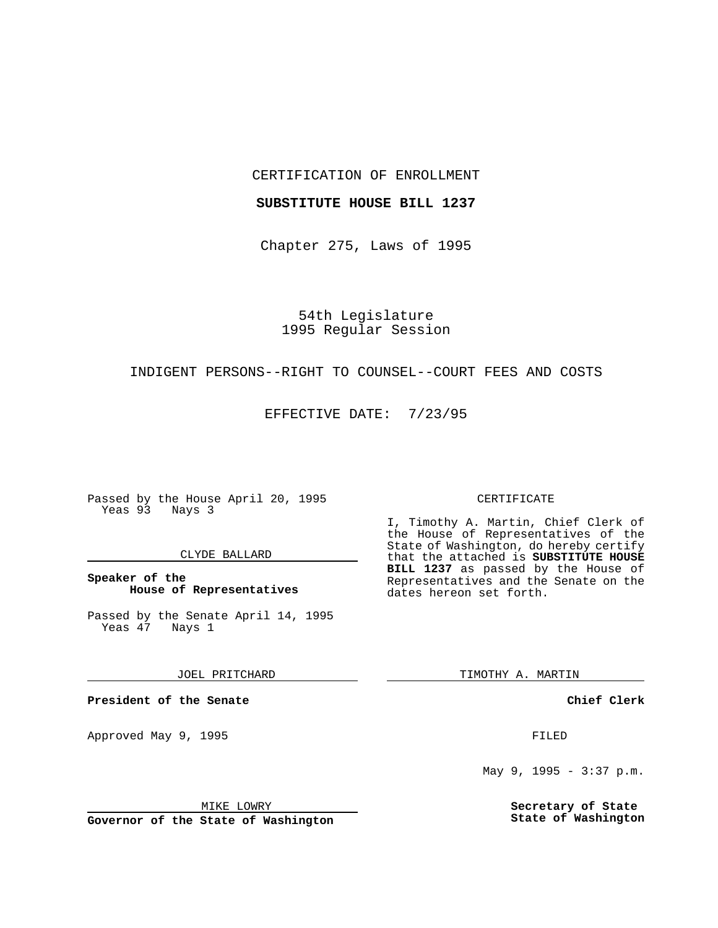CERTIFICATION OF ENROLLMENT

### **SUBSTITUTE HOUSE BILL 1237**

Chapter 275, Laws of 1995

54th Legislature 1995 Regular Session

## INDIGENT PERSONS--RIGHT TO COUNSEL--COURT FEES AND COSTS

EFFECTIVE DATE: 7/23/95

Passed by the House April 20, 1995 Yeas 93 Nays 3

### CLYDE BALLARD

## **Speaker of the House of Representatives**

Passed by the Senate April 14, 1995<br>Yeas 47 Nays 1 Yeas 47

JOEL PRITCHARD

**President of the Senate**

Approved May 9, 1995 **FILED** 

MIKE LOWRY

**Governor of the State of Washington**

#### CERTIFICATE

I, Timothy A. Martin, Chief Clerk of the House of Representatives of the State of Washington, do hereby certify that the attached is **SUBSTITUTE HOUSE BILL 1237** as passed by the House of Representatives and the Senate on the dates hereon set forth.

TIMOTHY A. MARTIN

**Chief Clerk**

May 9, 1995 - 3:37 p.m.

**Secretary of State State of Washington**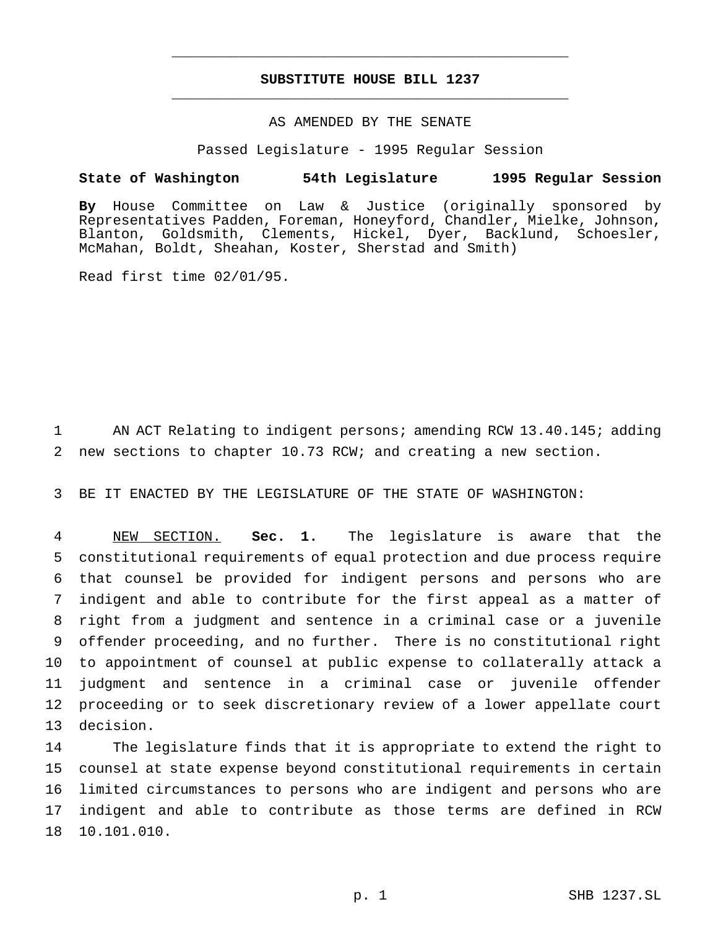# **SUBSTITUTE HOUSE BILL 1237** \_\_\_\_\_\_\_\_\_\_\_\_\_\_\_\_\_\_\_\_\_\_\_\_\_\_\_\_\_\_\_\_\_\_\_\_\_\_\_\_\_\_\_\_\_\_\_

\_\_\_\_\_\_\_\_\_\_\_\_\_\_\_\_\_\_\_\_\_\_\_\_\_\_\_\_\_\_\_\_\_\_\_\_\_\_\_\_\_\_\_\_\_\_\_

# AS AMENDED BY THE SENATE

Passed Legislature - 1995 Regular Session

#### **State of Washington 54th Legislature 1995 Regular Session**

**By** House Committee on Law & Justice (originally sponsored by Representatives Padden, Foreman, Honeyford, Chandler, Mielke, Johnson, Blanton, Goldsmith, Clements, Hickel, Dyer, Backlund, Schoesler, McMahan, Boldt, Sheahan, Koster, Sherstad and Smith)

Read first time 02/01/95.

1 AN ACT Relating to indigent persons; amending RCW 13.40.145; adding 2 new sections to chapter 10.73 RCW; and creating a new section.

3 BE IT ENACTED BY THE LEGISLATURE OF THE STATE OF WASHINGTON:

 NEW SECTION. **Sec. 1.** The legislature is aware that the constitutional requirements of equal protection and due process require that counsel be provided for indigent persons and persons who are indigent and able to contribute for the first appeal as a matter of right from a judgment and sentence in a criminal case or a juvenile offender proceeding, and no further. There is no constitutional right to appointment of counsel at public expense to collaterally attack a judgment and sentence in a criminal case or juvenile offender proceeding or to seek discretionary review of a lower appellate court decision.

 The legislature finds that it is appropriate to extend the right to counsel at state expense beyond constitutional requirements in certain limited circumstances to persons who are indigent and persons who are indigent and able to contribute as those terms are defined in RCW 10.101.010.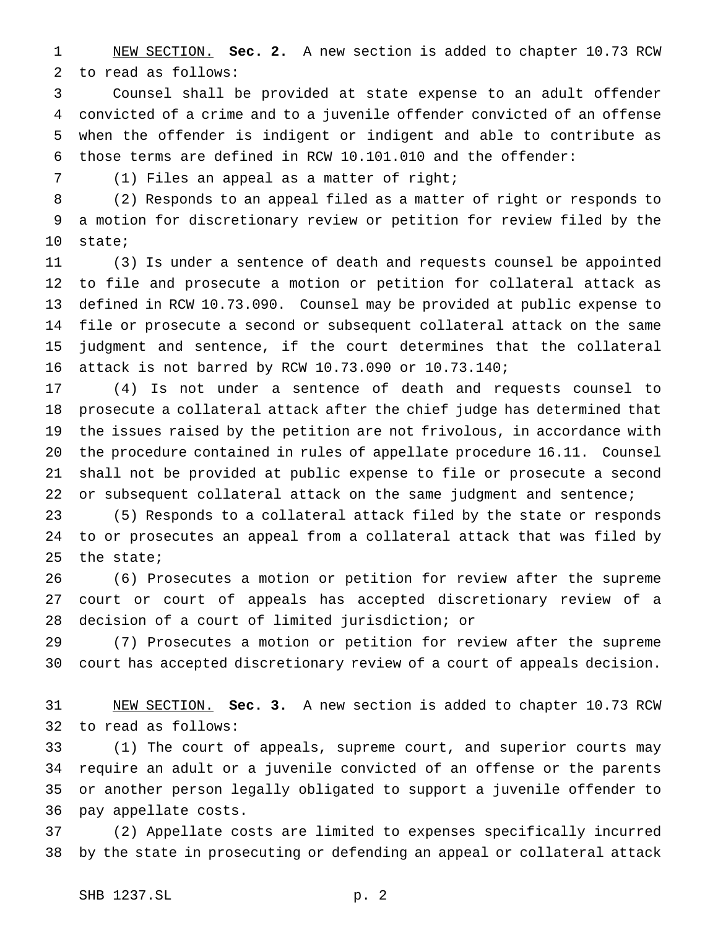NEW SECTION. **Sec. 2.** A new section is added to chapter 10.73 RCW to read as follows:

 Counsel shall be provided at state expense to an adult offender convicted of a crime and to a juvenile offender convicted of an offense when the offender is indigent or indigent and able to contribute as those terms are defined in RCW 10.101.010 and the offender:

(1) Files an appeal as a matter of right;

 (2) Responds to an appeal filed as a matter of right or responds to a motion for discretionary review or petition for review filed by the state;

 (3) Is under a sentence of death and requests counsel be appointed to file and prosecute a motion or petition for collateral attack as defined in RCW 10.73.090. Counsel may be provided at public expense to file or prosecute a second or subsequent collateral attack on the same judgment and sentence, if the court determines that the collateral attack is not barred by RCW 10.73.090 or 10.73.140;

 (4) Is not under a sentence of death and requests counsel to prosecute a collateral attack after the chief judge has determined that the issues raised by the petition are not frivolous, in accordance with the procedure contained in rules of appellate procedure 16.11. Counsel shall not be provided at public expense to file or prosecute a second or subsequent collateral attack on the same judgment and sentence;

 (5) Responds to a collateral attack filed by the state or responds to or prosecutes an appeal from a collateral attack that was filed by the state;

 (6) Prosecutes a motion or petition for review after the supreme court or court of appeals has accepted discretionary review of a decision of a court of limited jurisdiction; or

 (7) Prosecutes a motion or petition for review after the supreme court has accepted discretionary review of a court of appeals decision.

 NEW SECTION. **Sec. 3.** A new section is added to chapter 10.73 RCW to read as follows:

 (1) The court of appeals, supreme court, and superior courts may require an adult or a juvenile convicted of an offense or the parents or another person legally obligated to support a juvenile offender to pay appellate costs.

 (2) Appellate costs are limited to expenses specifically incurred by the state in prosecuting or defending an appeal or collateral attack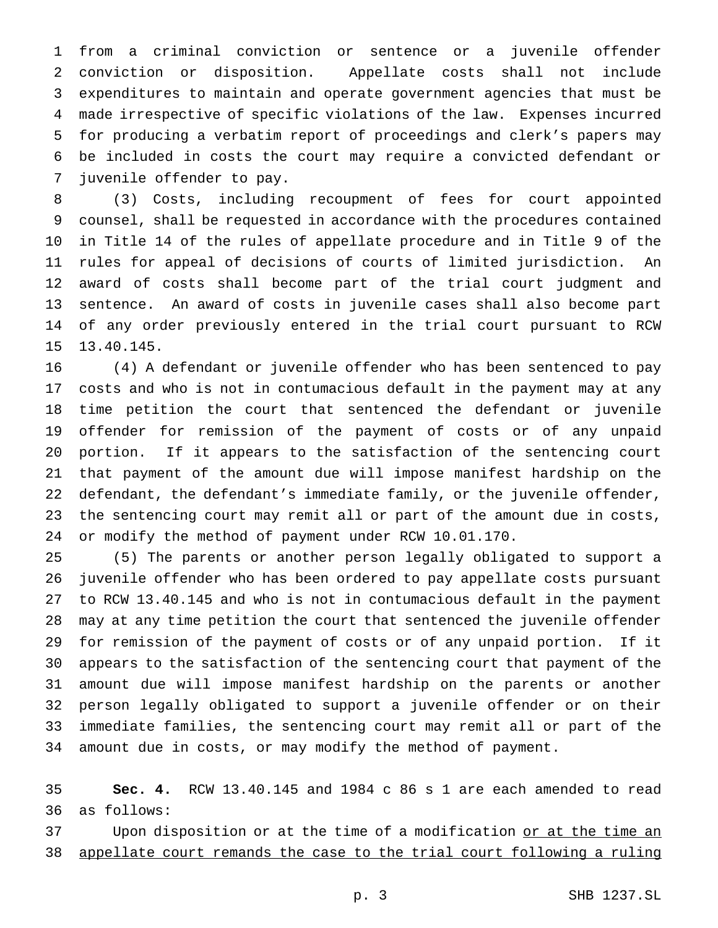from a criminal conviction or sentence or a juvenile offender conviction or disposition. Appellate costs shall not include expenditures to maintain and operate government agencies that must be made irrespective of specific violations of the law. Expenses incurred for producing a verbatim report of proceedings and clerk's papers may be included in costs the court may require a convicted defendant or juvenile offender to pay.

 (3) Costs, including recoupment of fees for court appointed counsel, shall be requested in accordance with the procedures contained in Title 14 of the rules of appellate procedure and in Title 9 of the rules for appeal of decisions of courts of limited jurisdiction. An award of costs shall become part of the trial court judgment and sentence. An award of costs in juvenile cases shall also become part of any order previously entered in the trial court pursuant to RCW 13.40.145.

 (4) A defendant or juvenile offender who has been sentenced to pay costs and who is not in contumacious default in the payment may at any time petition the court that sentenced the defendant or juvenile offender for remission of the payment of costs or of any unpaid portion. If it appears to the satisfaction of the sentencing court that payment of the amount due will impose manifest hardship on the defendant, the defendant's immediate family, or the juvenile offender, the sentencing court may remit all or part of the amount due in costs, or modify the method of payment under RCW 10.01.170.

 (5) The parents or another person legally obligated to support a juvenile offender who has been ordered to pay appellate costs pursuant to RCW 13.40.145 and who is not in contumacious default in the payment may at any time petition the court that sentenced the juvenile offender for remission of the payment of costs or of any unpaid portion. If it appears to the satisfaction of the sentencing court that payment of the amount due will impose manifest hardship on the parents or another person legally obligated to support a juvenile offender or on their immediate families, the sentencing court may remit all or part of the amount due in costs, or may modify the method of payment.

 **Sec. 4.** RCW 13.40.145 and 1984 c 86 s 1 are each amended to read as follows:

37 Upon disposition or at the time of a modification or at the time an appellate court remands the case to the trial court following a ruling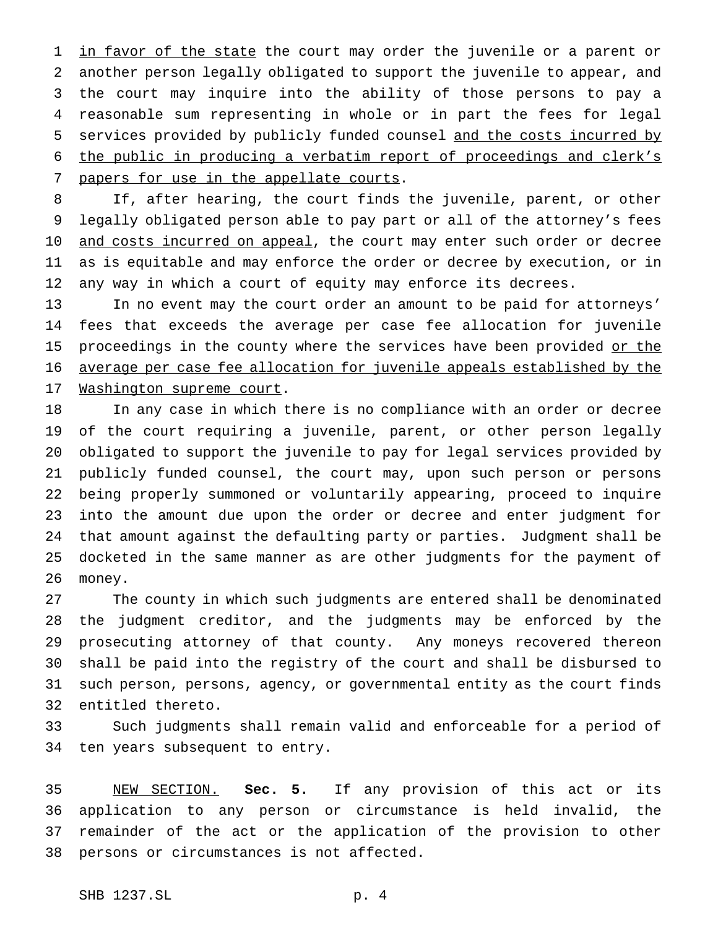1 in favor of the state the court may order the juvenile or a parent or another person legally obligated to support the juvenile to appear, and the court may inquire into the ability of those persons to pay a reasonable sum representing in whole or in part the fees for legal services provided by publicly funded counsel and the costs incurred by the public in producing a verbatim report of proceedings and clerk's 7 papers for use in the appellate courts.

 If, after hearing, the court finds the juvenile, parent, or other legally obligated person able to pay part or all of the attorney's fees 10 and costs incurred on appeal, the court may enter such order or decree as is equitable and may enforce the order or decree by execution, or in any way in which a court of equity may enforce its decrees.

 In no event may the court order an amount to be paid for attorneys' fees that exceeds the average per case fee allocation for juvenile 15 proceedings in the county where the services have been provided or the average per case fee allocation for juvenile appeals established by the 17 Washington supreme court.

 In any case in which there is no compliance with an order or decree of the court requiring a juvenile, parent, or other person legally obligated to support the juvenile to pay for legal services provided by publicly funded counsel, the court may, upon such person or persons being properly summoned or voluntarily appearing, proceed to inquire into the amount due upon the order or decree and enter judgment for that amount against the defaulting party or parties. Judgment shall be docketed in the same manner as are other judgments for the payment of money.

 The county in which such judgments are entered shall be denominated the judgment creditor, and the judgments may be enforced by the prosecuting attorney of that county. Any moneys recovered thereon shall be paid into the registry of the court and shall be disbursed to such person, persons, agency, or governmental entity as the court finds entitled thereto.

 Such judgments shall remain valid and enforceable for a period of ten years subsequent to entry.

 NEW SECTION. **Sec. 5.** If any provision of this act or its application to any person or circumstance is held invalid, the remainder of the act or the application of the provision to other persons or circumstances is not affected.